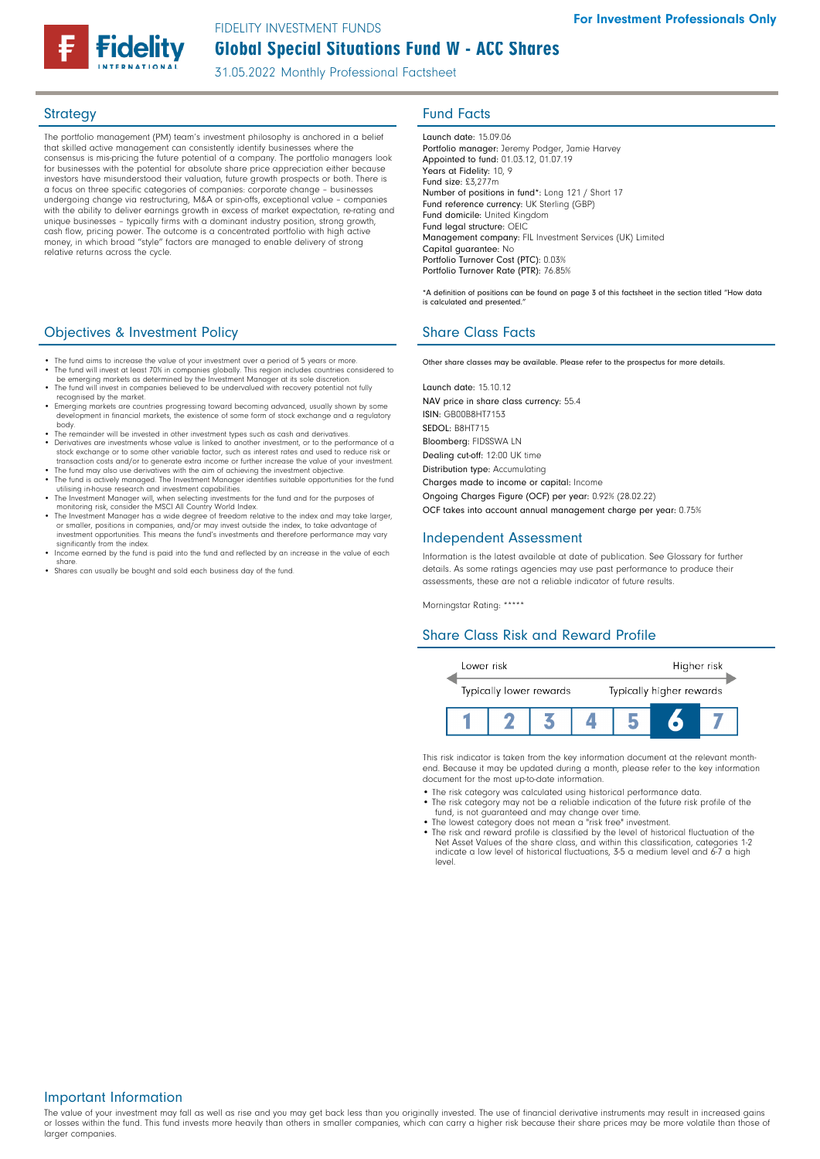# Global Special Situations Fund W - ACC Shares FIDELITY INVESTMENT FUNDS

31.05.2022 Monthly Professional Factsheet

The portfolio management (PM) team's investment philosophy is anchored in a belief that skilled active management can consistently identify businesses where the consensus is mis-pricing the future potential of a company. The portfolio managers look for businesses with the potential for absolute share price appreciation either because investors have misunderstood their valuation, future growth prospects or both. There is a focus on three specific categories of companies: corporate change – businesses undergoing change via restructuring, M&A or spin-offs, exceptional value – companies with the ability to deliver earnings growth in excess of market expectation, re-rating and unique businesses – typically firms with a dominant industry position, strong growth, cash flow, pricing power. The outcome is a concentrated portfolio with high active money, in which broad "style" factors are managed to enable delivery of strong relative returns across the cycle.

# **Objectives & Investment Policy Share Class Facts** Share Class Facts

- The fund aims to increase the value of your investment over a period of 5 years or more • The fund will invest at least 70% in companies globally. This region includes countries considered to be emerging markets as determined by the Investment Manager at its sole discretion.
- The fund will invest in companies believed to be undervalued with recovery potential not fully
- recognised by the market. Emerging markets are countries progressing toward becoming advanced, usually shown by some development in financial markets, the existence of some form of stock exchange and a regulatory
- body. The remainder will be invested in other investment types such as cash and derivatives. • Derivatives are investments whose value is linked to another investment, or to the performance of a stock exchange or to some other variable factor, such as interest rates and used to reduce risk or
- transaction costs and/or to generate extra income or further increase the value of your investment. • The fund may also use derivatives with the aim of achieving the investment objective. • The fund is actively managed. The Investment Manager identifies suitable opportunities for the fund
- utilising in-house research and investment capabilities. • The Investment Manager will, when selecting investments for the fund and for the purposes of monitoring risk, consider the MSCI All Country World Index.
- The Investment Manager has a wide degree of freedom relative to the index and may take larger, or smaller, positions in companies, and/or may invest outside the index, to take advantage of
- investment opportunities. This means the fund's investments and therefore performance may vary significantly from the index. Income earned by the fund is paid into the fund and reflected by an increase in the value of each share.
- Shares can usually be bought and sold each business day of the fund.

# Strategy **Fund Facts**

Launch date: 15.09.06 Portfolio manager: Jeremy Podger, Jamie Harvey Appointed to fund: 01.03.12, 01.07.19 Years at Fidelity: 10, 9 Fund size: £3,277m Number of positions in fund\*: Long 121 / Short 17 Fund reference currency: UK Sterling (GBP) Fund domicile: United Kingdom Fund legal structure: OEIC Management company: FIL Investment Services (UK) Limited Capital guarantee: No Portfolio Turnover Cost (PTC): 0.03% Portfolio Turnover Rate (PTR): 76.85%

\*A definition of positions can be found on page 3 of this factsheet in the section titled "How data is calculated and presented."

Other share classes may be available. Please refer to the prospectus for more details.

Launch date: 15.10.12 NAV price in share class currency: 55.4 ISIN: GB00B8HT7153 SEDOL: B8HT715 Bloomberg: FIDSSWA LN Dealing cut-off: 12:00 UK time Distribution type: Accumulating Charges made to income or capital: Income Ongoing Charges Figure (OCF) per year: 0.92% (28.02.22) OCF takes into account annual management charge per year: 0.75%

## Independent Assessment

Information is the latest available at date of publication. See Glossary for further details. As some ratings agencies may use past performance to produce their assessments, these are not a reliable indicator of future results.

Morningstar Rating: \*\*\*\*\*

# Share Class Risk and Reward Profile



This risk indicator is taken from the key information document at the relevant monthend. Because it may be updated during a month, please refer to the key information document for the most up-to-date information.

- The risk category was calculated using historical performance data.
- The risk category may not be a reliable indication of the future risk profile of the fund, is not guaranteed and may change over time.
- The lowest category does not mean a "risk free" investment. The risk and reward profile is classified by the level of historical fluctuation of the
- Net Asset Values of the share class, and within this classification, categories 1-2 indicate a low level of historical fluctuations, 3-5 a medium level and 6-7 a high level.

## Important Information

The value of your investment may fall as well as rise and you may get back less than you originally invested. The use of financial derivative instruments may result in increased gains or losses within the fund. This fund invests more heavily than others in smaller companies, which can carry a higher risk because their share prices may be more volatile than those of larger companies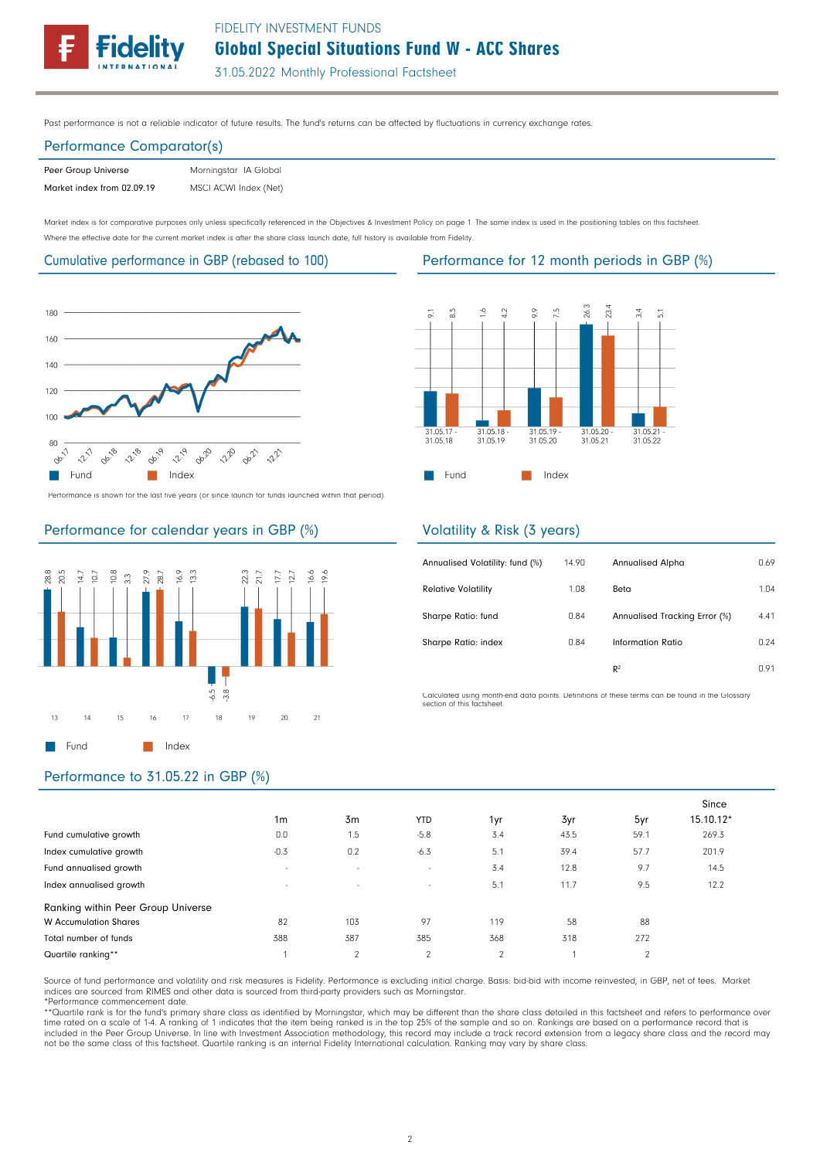

# Global Special Situations Fund W - ACC Shares FIDELITY INVESTMENT FUNDS

31.05.2022 Monthly Professional Factsheet

Past performance is not a reliable indicator of future results. The fund's returns can be affected by fluctuations in currency exchange rates.

## Performance Comparator(s)

| Peer Group Universe        | Morningstar IA Global |
|----------------------------|-----------------------|
| Market index from 02.09.19 | MSCI ACWI Index (Net) |

Market index is for comparative purposes only unless specifically referenced in the Objectives & Investment Policy on page 1. The same index is used in the positioning tables on this factsheet. Where the effective date for the current market index is after the share class launch date, full history is available from Fidelity.

### Cumulative performance in GBP (rebased to 100) Performance for 12 month periods in GBP (%)



Performance is shown for the last five years (or since launch for funds launched within that period).

# Performance for calendar years in GBP (%)





## Volatility & Risk (3 years)

| Annualised Volatility: fund (%) | 14.90 | Annualised Alpha              | 0.69 |
|---------------------------------|-------|-------------------------------|------|
| <b>Relative Volatility</b>      | 1.08  | Beta                          | 1.04 |
| Sharpe Ratio: fund              | 0.84  | Annualised Tracking Error (%) | 4.41 |
| Sharpe Ratio: index             | 0.84  | Information Ratio             | 0.24 |
|                                 |       | R <sup>2</sup>                | 0.91 |

Calculated using month-end data points. Definitions of these terms can be found in the Glossary section of this factsheet.

# Performance to 31.05.22 in GBP (%)

|                                    |                          |                |                |               |      |                | Since     |
|------------------------------------|--------------------------|----------------|----------------|---------------|------|----------------|-----------|
|                                    | 1 <sub>m</sub>           | 3 <sub>m</sub> | <b>YTD</b>     | 1yr           | 3yr  | 5yr            | 15.10.12* |
| Fund cumulative growth             | 0.0                      | 1.5            | $-5.8$         | 3.4           | 43.5 | 59.1           | 269.3     |
| Index cumulative growth            | $-0.3$                   | 0.2            | $-6.3$         | 5.1           | 39.4 | 57.7           | 201.9     |
| Fund annualised growth             | $\overline{\phantom{a}}$ | $\sim$         | $\sim$         | 3.4           | 12.8 | 9.7            | 14.5      |
| Index annualised growth            | $\overline{\phantom{a}}$ | $\sim$         | $\sim$         | 5.1           | 11.7 | 9.5            | 12.2      |
| Ranking within Peer Group Universe |                          |                |                |               |      |                |           |
| <b>W</b> Accumulation Shares       | 82                       | 103            | 97             | 119           | 58   | 88             |           |
| Total number of funds              | 388                      | 387            | 385            | 368           | 318  | 272            |           |
| Quartile ranking**                 |                          | $\Omega$       | $\mathfrak{p}$ | $\mathcal{P}$ |      | $\overline{2}$ |           |

Source of fund performance and volatility and risk measures is Fidelity. Performance is excluding initial charge. Basis: bid-bid with income reinvested, in GBP, net of fees. Market indices are sourced from RIMES and other data is sourced from third-party providers such as Morningstar. \*Performance commencement date.

\*\*Quartile rank is for the fund's primary share class as identified by Morningstar, which may be different than the share class detailed in this factsheet and refers to performance over time rated on a scale of 1-4. A ranking of 1 indicates that the item being ranked is in the top 25% of the sample and so on. Rankings are based on a performance record that is included in the Peer Group Universe. In line with Investment Association methodology, this record may include a track record extension from a legacy share class and the record may<br>not be the same class of this factsheet. Q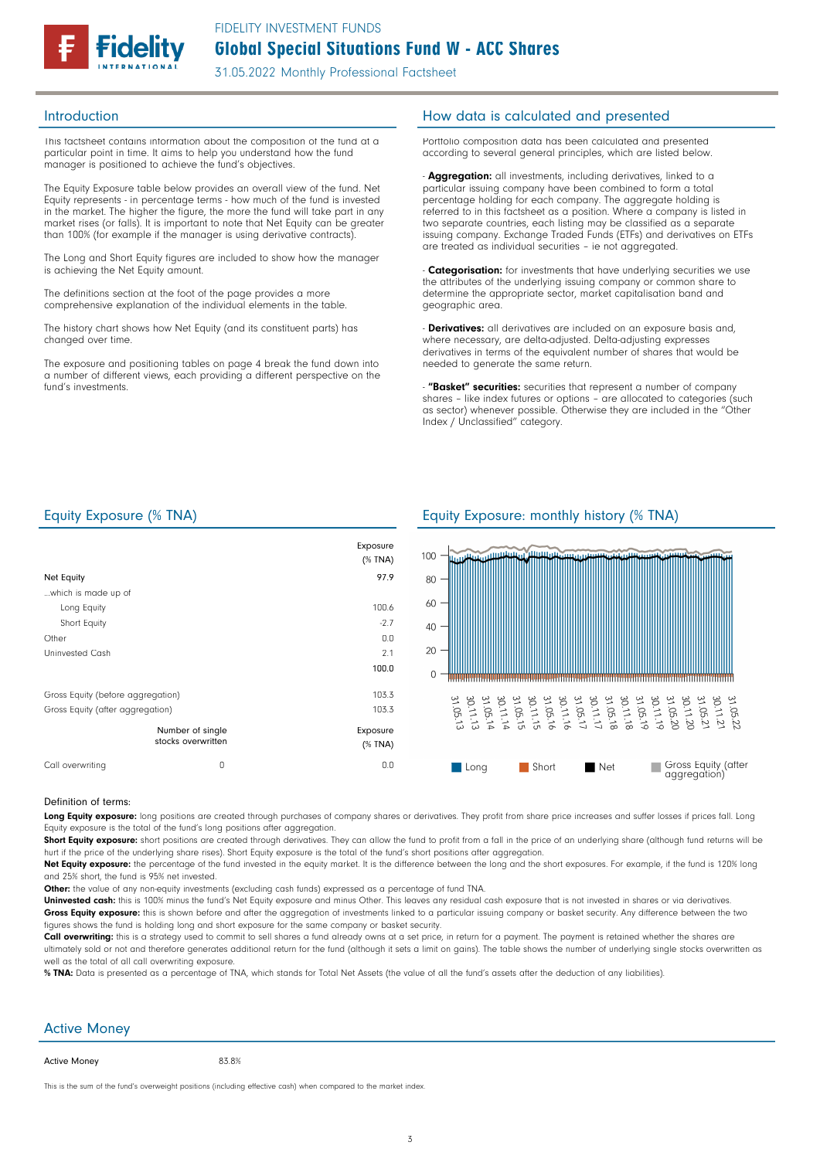

This factsheet contains information about the composition of the fund at a particular point in time. It aims to help you understand how the fund manager is positioned to achieve the fund's objectives.

The Equity Exposure table below provides an overall view of the fund. Net Equity represents - in percentage terms - how much of the fund is invested in the market. The higher the figure, the more the fund will take part in any market rises (or falls). It is important to note that Net Equity can be greater than 100% (for example if the manager is using derivative contracts)

The Long and Short Equity figures are included to show how the manager is achieving the Net Equity amount.

The definitions section at the foot of the page provides a more comprehensive explanation of the individual elements in the table.

The history chart shows how Net Equity (and its constituent parts) has changed over time.

The exposure and positioning tables on page 4 break the fund down into a number of different views, each providing a different perspective on the fund's investments.

## Introduction How data is calculated and presented

Portfolio composition data has been calculated and presented according to several general principles, which are listed below.

- **Aggregation:** all investments, including derivatives, linked to a particular issuing company have been combined to form a total percentage holding for each company. The aggregate holding is referred to in this factsheet as a position. Where a company is listed in two separate countries, each listing may be classified as a separate issuing company. Exchange Traded Funds (ETFs) and derivatives on ETFs are treated as individual securities – ie not aggregated.

Categorisation: for investments that have underlying securities we use the attributes of the underlying issuing company or common share to determine the appropriate sector, market capitalisation band and geographic area.

- **Derivatives:** all derivatives are included on an exposure basis and, where necessary, are delta-adjusted. Delta-adjusting expresses derivatives in terms of the equivalent number of shares that would be needed to generate the same return.

**- "Basket" securities:** securities that represent a number of company shares – like index futures or options – are allocated to categories (such as sector) whenever possible. Otherwise they are included in the "Other Index / Unclassified" category.

|                                   |                                        | Exposure<br>(% TNA) |
|-----------------------------------|----------------------------------------|---------------------|
| Net Equity                        |                                        | 97.9                |
| which is made up of               |                                        |                     |
| Long Equity                       |                                        | 100.6               |
| Short Equity                      |                                        | $-2.7$              |
| Other                             |                                        | 0.0                 |
| Uninvested Cash                   |                                        | 2.1                 |
|                                   |                                        | 100.0               |
| Gross Equity (before aggregation) |                                        | 103.3               |
| Gross Equity (after aggregation)  |                                        | 103.3               |
|                                   | Number of single<br>stocks overwritten | Exposure<br>(% TNA) |
| Call overwriting                  | 0                                      | 0.0                 |

### Equity Exposure (% TNA) Equity Exposure: monthly history (% TNA)



### Definition of terms:

Long Equity exposure: long positions are created through purchases of company shares or derivatives. They profit from share price increases and suffer losses if prices fall. Long Equity exposure is the total of the fund's long positions after aggregation.

Short Equity exposure: short positions are created through derivatives. They can allow the fund to profit from a fall in the price of an underlying share (although fund returns will be hurt if the price of the underlying share rises). Short Equity exposure is the total of the fund's short positions after aggregation.

Net Equity exposure: the percentage of the fund invested in the equity market. It is the difference between the long and the short exposures. For example, if the fund is 120% long and 25% short, the fund is 95% net invested.

Other: the value of any non-equity investments (excluding cash funds) expressed as a percentage of fund TNA.

Uninvested cash: this is 100% minus the fund's Net Equity exposure and minus Other. This leaves any residual cash exposure that is not invested in shares or via derivatives. Gross Equity exposure: this is shown before and after the aggregation of investments linked to a particular issuing company or basket security. Any difference between the two figures shows the fund is holding long and short exposure for the same company or basket security.

Call overwriting: this is a strategy used to commit to sell shares a fund already owns at a set price, in return for a payment. The payment is retained whether the shares are ultimately sold or not and therefore generates additional return for the fund (although it sets a limit on gains). The table shows the number of underlying single stocks overwritten as well as the total of all call overwriting exposure.

% TNA: Data is presented as a percentage of TNA, which stands for Total Net Assets (the value of all the fund's assets after the deduction of any liabilities)

### Active Money

### Active Money

83.8%

This is the sum of the fund's overweight positions (including effective cash) when compared to the market index.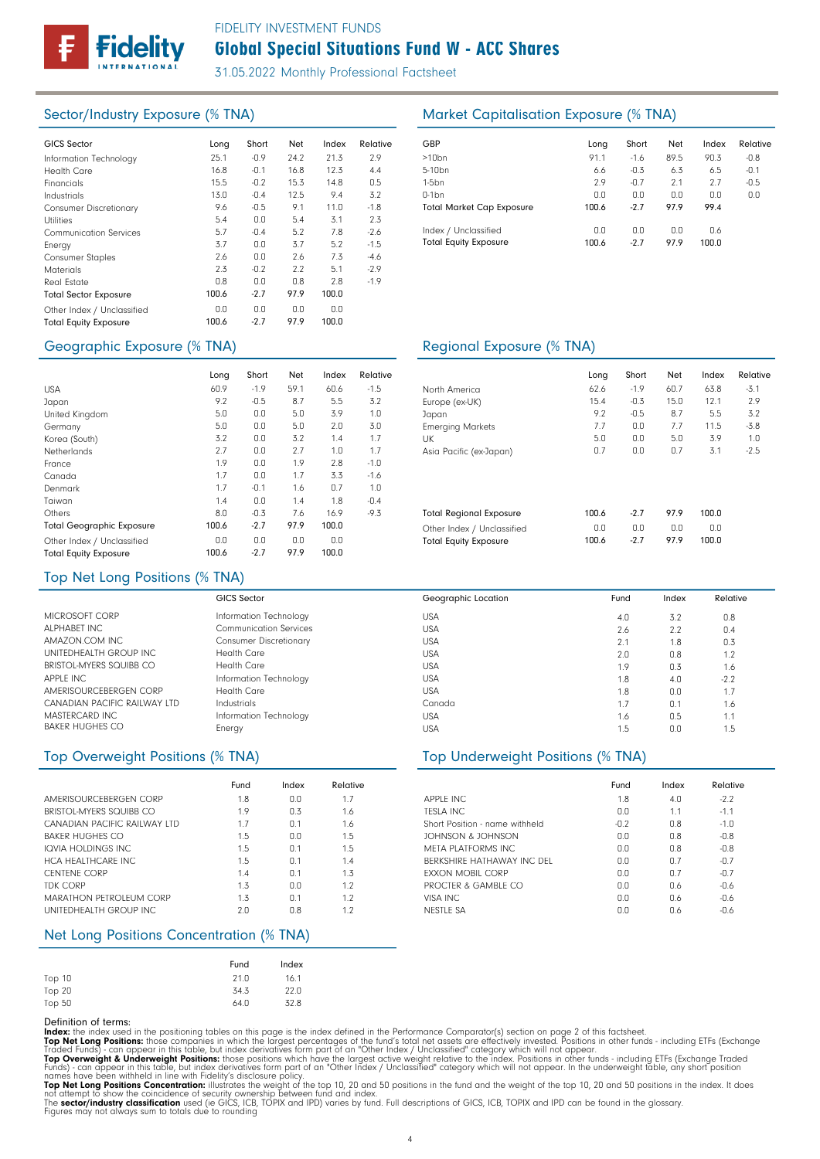

# Global Special Situations Fund W - ACC Shares FIDELITY INVESTMENT FUNDS

31.05.2022 Monthly Professional Factsheet

| <b>GICS Sector</b>            | Long  | Short  | Net  | Index | Relative | GBP              |
|-------------------------------|-------|--------|------|-------|----------|------------------|
| Information Technology        | 25.1  | $-0.9$ | 24.2 | 21.3  | 2.9      | >10 <sub>k</sub> |
| <b>Health Care</b>            | 16.8  | $-0.1$ | 16.8 | 12.3  | 4.4      | $5 - 10$         |
| Financials                    | 15.5  | $-0.2$ | 15.3 | 14.8  | 0.5      | $1-5b$           |
| Industrials                   | 13.0  | $-0.4$ | 12.5 | 9.4   | 3.2      | $0-1b$           |
| <b>Consumer Discretionary</b> | 9.6   | $-0.5$ | 9.1  | 11.0  | $-1.8$   | Tota             |
| <b>Utilities</b>              | 5.4   | 0.0    | 5.4  | 3.1   | 2.3      |                  |
| <b>Communication Services</b> | 5.7   | $-0.4$ | 5.2  | 7.8   | $-2.6$   | Inde             |
| Energy                        | 3.7   | 0.0    | 3.7  | 5.2   | $-1.5$   | Tota             |
| <b>Consumer Staples</b>       | 2.6   | 0.0    | 2.6  | 7.3   | -4.6     |                  |
| <b>Materials</b>              | 2.3   | $-0.2$ | 2.2  | 5.1   | $-2.9$   |                  |
| Real Estate                   | 0.8   | 0.0    | 0.8  | 2.8   | $-1.9$   |                  |
| <b>Total Sector Exposure</b>  | 100.6 | $-2.7$ | 97.9 | 100.0 |          |                  |
| Other Index / Unclassified    | 0.0   | 0.0    | 0.0  | 0.0   |          |                  |
| <b>Total Equity Exposure</b>  | 100.6 | $-2.7$ | 97.9 | 100.0 |          |                  |

# Geographic Exposure (% TNA) Geographic Exposure (% TNA)

|                                  | Long  | Short  | Net  | Index | Relative |
|----------------------------------|-------|--------|------|-------|----------|
| <b>USA</b>                       | 60.9  | $-1.9$ | 59.1 | 60.6  | $-1.5$   |
| Japan                            | 9.2   | $-0.5$ | 8.7  | 5.5   | 3.2      |
| United Kingdom                   | 5.0   | 0.0    | 5.0  | 3.9   | 1.0      |
| Germany                          | 5.0   | 0.0    | 5.0  | 2.0   | 3.0      |
| Korea (South)                    | 3.2   | 0.0    | 3.2  | 1.4   | 1.7      |
| Netherlands                      | 2.7   | 0.0    | 2.7  | 1.0   | 1.7      |
| France                           | 1.9   | 0.0    | 1.9  | 2.8   | $-1.0$   |
| Canada                           | 1.7   | 0.0    | 1.7  | 3.3   | $-1.6$   |
| Denmark                          | 1.7   | $-0.1$ | 1.6  | 0.7   | 1.0      |
| Taiwan                           | 1.4   | 0.0    | 1.4  | 1.8   | $-0.4$   |
| Others                           | 8.0   | $-0.3$ | 7.6  | 16.9  | $-9.3$   |
| <b>Total Geographic Exposure</b> | 100.6 | $-2.7$ | 97.9 | 100.0 |          |
| Other Index / Unclassified       | 0.0   | 0.0    | 0.0  | 0.0   |          |
| <b>Total Equity Exposure</b>     | 100.6 | $-2.7$ | 97.9 | 100.0 |          |

# Sector/Industry Exposure (% TNA) Market Capitalisation Exposure (% TNA)

| <b>GBP</b>                                           | Long         | Short         | Net         | Index        | Relative |
|------------------------------------------------------|--------------|---------------|-------------|--------------|----------|
| $>10$ bn                                             | 91.1         | $-1.6$        | 89.5        | 90.3         | $-0.8$   |
| 5-10 <sub>bn</sub>                                   | 6.6          | $-0.3$        | 6.3         | 6.5          | $-0.1$   |
| $1-5$ bn                                             | 2.9          | $-0.7$        | 2.1         | 2.7          | $-0.5$   |
| $0-1$ bn                                             | 0.0          | 0.0           | 0.0         | 0.0          | 0.0      |
| <b>Total Market Cap Exposure</b>                     | 100.6        | $-2.7$        | 97.9        | 99.4         |          |
| Index / Unclassified<br><b>Total Equity Exposure</b> | 0.0<br>100.6 | 0.0<br>$-2.7$ | 0.0<br>97.9 | 0.6<br>100.0 |          |

Geographic Location

| Long         | Short         | Net         | Index        | Relative |
|--------------|---------------|-------------|--------------|----------|
| 62.6         | $-1.9$        | 60.7        | 63.8         | $-3.1$   |
| 15.4         | $-0.3$        | 15.0        | 12.1         | 2.9      |
| 9.2          | $-0.5$        | 8.7         | 5.5          | 3.2      |
| 7.7          | 0.0           | 7.7         | 11.5         | $-3.8$   |
| 5.0          | 0.0           | 5.0         | 3.9          | 1.0      |
| 0.7          | 0.0           | 0.7         | 3.1          | $-2.5$   |
|              |               |             |              |          |
| 100.6        | $-2.7$        | 97.9        | 100.0        |          |
| 0.0<br>100.6 | 0.0<br>$-2.7$ | 0.0<br>97.9 | 0.0<br>100.0 |          |
|              |               |             |              |          |

# Top Net Long Positions (% TNA)

|                              | <b>GICS Sector</b>            |
|------------------------------|-------------------------------|
| MICROSOFT CORP               | Information Technology        |
| ALPHARFT INC                 | <b>Communication Services</b> |
| AMAZON COM INC               | <b>Consumer Discretionary</b> |
| UNITEDHEALTH GROUP INC.      | Health Care                   |
| BRISTOL MYFRS SQUIBB CO      | Health Care                   |
| APPLE INC                    | Information Technology        |
| AMERISOURCEBERGEN CORP       | Health Care                   |
| CANADIAN PACIFIC RAILWAY LTD | Industrials                   |
| MASTERCARD INC               | Information Technology        |
| <b>BAKER HUGHES CO</b>       | Energy                        |

|                                | Fund | Index          | Relative |
|--------------------------------|------|----------------|----------|
| AMERISOURCEBERGEN CORP         | 1.8  | 0.0            | 1.7      |
| BRISTOL-MYFRS SQUIBB CO        | 1.9  | 0.3            | 1.6      |
| CANADIAN PACIFIC RAILWAY LTD   | 1.7  | 0.1            | 1.6      |
| <b>BAKER HUGHES CO</b>         | 1.5  | 0.0            | 1.5      |
| IQVIA HOLDINGS INC.            | 1.5  | 0.1            | 1.5      |
| <b>HCA HFALTHCARF INC</b>      | 1.5  | 0.1            | 1.4      |
| <b>CENTENE CORP</b>            | 1.4  | 0.1            | 13       |
| TDK CORP                       | 1.3  | 0.0            | 1.2      |
| <b>MARATHON PETROLEUM CORP</b> | 1.3  | n <sub>1</sub> | 1.2      |
| UNITEDHEALTH GROUP INC.        | 2n   | 0 8            | 12       |

# Net Long Positions Concentration (% TNA)

|        | Fund | Index |
|--------|------|-------|
| Top 10 | 21.0 | 16.1  |
| Top 20 | 34.3 | 22.0  |
| Top 50 | 64.0 | 32.8  |

**Definition of terms:**<br>**Top Net Long Positions:** those componies in which the largest percentages of the fund's total net assets are effectively invested. Positions in other funds - including ETFs (Exchange<br>**Index:** the in

### USA USA USA USA  $\overline{1}$  ISA USA USA Canada USA USA 3.2 2.2 1.8 0.8 0.3 4.0 0.0 0.1 0.5 0.0 4.0 2.6 2.1 2.0 1.9 1.8 1.8 1.7 1.6 1.5 0.8 0.4 0.3 1.2 1.6 -2.2 1.7 1.6 1.1 1.5

Fund Index Relative

## Top Overweight Positions (% TNA) Top Underweight Positions (% TNA)

|                                | Fund   | Index | Relative |
|--------------------------------|--------|-------|----------|
| <b>APPLE INC.</b>              | 1.8    | 4.0   | $-2.2$   |
| TESLA INC.                     | 0.0    | 1.1   | $-1.1$   |
| Short Position - name withheld | $-0.2$ | 0.8   | $-1.0$   |
| JOHNSON & JOHNSON              | 0.0    | 0.8   | $-0.8$   |
| META PLATFORMS INC             | 0.0    | 0.8   | $-0.8$   |
| BERKSHIRE HATHAWAY INC DEL     | 0.0    | 0.7   | $-0.7$   |
| <b>FXXON MOBIL CORP</b>        | 0.0    | 0.7   | $-0.7$   |
| PROCTER & GAMBLE CO            | 0.0    | 0.6   | $-0.6$   |
| VISA INC                       | 0.0    | 0.6   | $-0.6$   |
| NESTLE SA                      | 0.0    | 0.6   | $-0.6$   |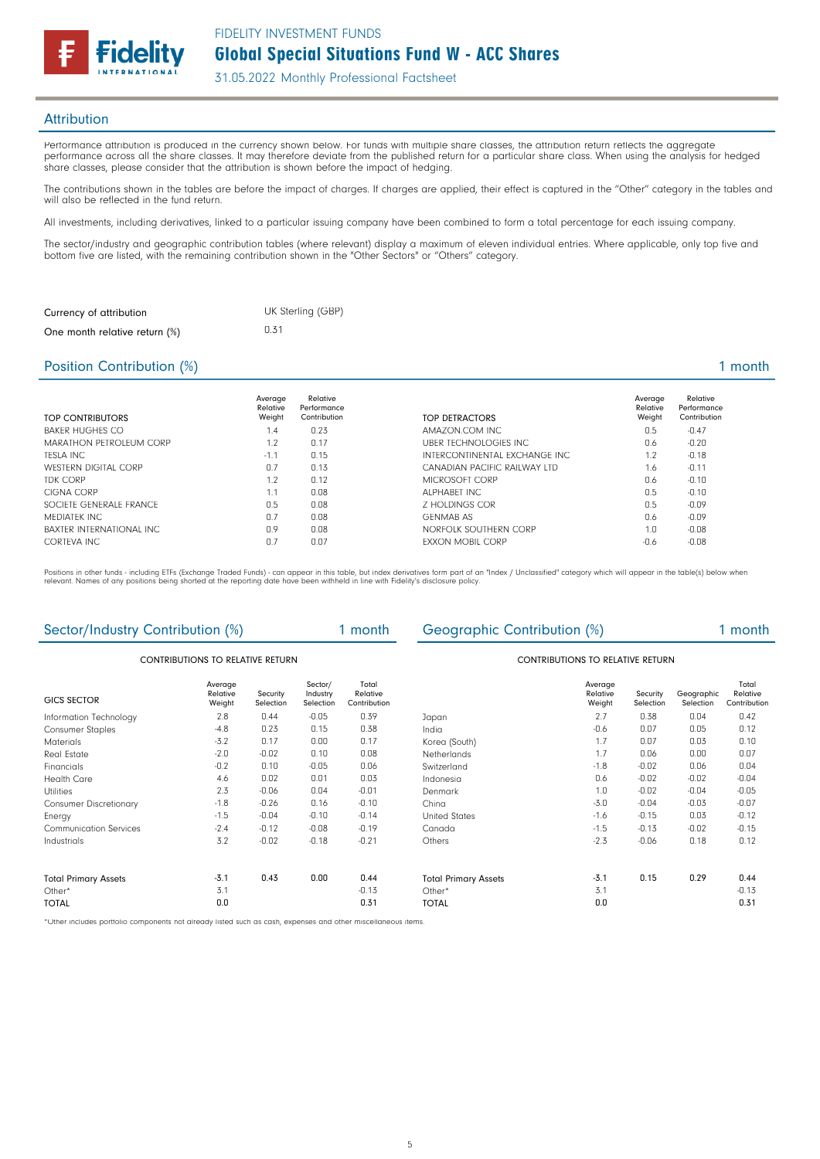

### **Attribution**

Performance attribution is produced in the currency shown below. For funds with multiple share classes, the attribution return reflects the aggregate performance across all the share classes. It may therefore deviate from the published return for a particular share class. When using the analysis for hedged share classes, please consider that the attribution is shown before the impact of hedging.

The contributions shown in the tables are before the impact of charges. If charges are applied, their effect is captured in the "Other" category in the tables and will also be reflected in the fund return.

All investments, including derivatives, linked to a particular issuing company have been combined to form a total percentage for each issuing company.

The sector/industry and geographic contribution tables (where relevant) display a maximum of eleven individual entries. Where applicable, only top five and bottom five are listed, with the remaining contribution shown in the "Other Sectors" or "Others" category.

1 month

| Currency of attribution       | UK Sterling (GBP) |
|-------------------------------|-------------------|
| One month relative return (%) | 0.31              |

## Position Contribution (%)

| TOP CONTRIBUTORS                | Average<br>Relative<br>Weight | Relative<br>Performance<br>Contribution | TOP DETRACTORS                | Average<br>Relative<br>Weight | Relative<br>Performance<br>Contribution |
|---------------------------------|-------------------------------|-----------------------------------------|-------------------------------|-------------------------------|-----------------------------------------|
| <b>BAKER HUGHES CO</b>          | 1.4                           | 0.23                                    | AMAZON.COM INC                | 0.5                           | $-0.47$                                 |
| MARATHON PETROLEUM CORP         | 1.2                           | 0.17                                    | UBER TECHNOLOGIES INC         | 0.6                           | $-0.20$                                 |
| <b>TESLA INC</b>                | $-1.1$                        | 0.15                                    | INTERCONTINENTAL EXCHANGE INC | 1.2                           | $-0.18$                                 |
| <b>WESTERN DIGITAL CORP</b>     | 0.7                           | 0.13                                    | CANADIAN PACIFIC RAILWAY LTD  | 1.6                           | $-0.11$                                 |
| <b>TDK CORP</b>                 | 1.2                           | 0.12                                    | MICROSOFT CORP                | 0.6                           | $-0.10$                                 |
| CIGNA CORP                      | 1.1                           | 0.08                                    | ALPHARFT INC                  | 0.5                           | $-0.10$                                 |
| SOCIFTE GENERALE FRANCE         | 0.5                           | 0.08                                    | <b>7 HOLDINGS COR</b>         | 0.5                           | $-0.09$                                 |
| MEDIATEK INC                    | 0.7                           | 0.08                                    | <b>GENMAB AS</b>              | 0.6                           | $-0.09$                                 |
| <b>BAXTER INTERNATIONAL INC</b> | 0.9                           | 0.08                                    | NORFOLK SOUTHERN CORP         | 1.0                           | $-0.08$                                 |
| CORTEVA INC                     | 0.7                           | 0.07                                    | <b>FXXON MOBIL CORP</b>       | $-0.6$                        | $-0.08$                                 |

Positions in other funds - including ETFs (Exchange Traded Funds) - can appear in this table, but index derivatives form part of an "Index / Unclassified" category which will appear in the table(s) below when relevant. Names of any positions being shorted at the reporting date have been withheld in line with Fidelity's disclosure policy.

|                                  | Sector/Industry Contribution (%)<br>1 month |                       |                                  | Geographic Contribution (%)       |                             |                               | 1 month               |                         |                                   |
|----------------------------------|---------------------------------------------|-----------------------|----------------------------------|-----------------------------------|-----------------------------|-------------------------------|-----------------------|-------------------------|-----------------------------------|
| CONTRIBUTIONS TO RELATIVE RETURN |                                             |                       | CONTRIBUTIONS TO RELATIVE RETURN |                                   |                             |                               |                       |                         |                                   |
| <b>GICS SECTOR</b>               | Average<br>Relative<br>Weight               | Security<br>Selection | Sector/<br>Industry<br>Selection | Total<br>Relative<br>Contribution |                             | Average<br>Relative<br>Weight | Security<br>Selection | Geographic<br>Selection | Total<br>Relative<br>Contribution |
| Information Technology           | 2.8                                         | 0.44                  | $-0.05$                          | 0.39                              | Japan                       | 2.7                           | 0.38                  | 0.04                    | 0.42                              |
| <b>Consumer Staples</b>          | $-4.8$                                      | 0.23                  | 0.15                             | 0.38                              | India                       | $-0.6$                        | 0.07                  | 0.05                    | 0.12                              |
| <b>Materials</b>                 | $-3.2$                                      | 0.17                  | 0.00                             | 0.17                              | Korea (South)               | 1.7                           | 0.07                  | 0.03                    | 0.10                              |
| Real Estate                      | $-2.0$                                      | $-0.02$               | 0.10                             | 0.08                              | Netherlands                 | 1.7                           | 0.06                  | 0.00                    | 0.07                              |
| Financials                       | $-0.2$                                      | 0.10                  | $-0.05$                          | 0.06                              | Switzerland                 | $-1.8$                        | $-0.02$               | 0.06                    | 0.04                              |
| <b>Health Care</b>               | 4.6                                         | 0.02                  | 0.01                             | 0.03                              | Indonesia                   | 0.6                           | $-0.02$               | $-0.02$                 | $-0.04$                           |
| <b>Utilities</b>                 | 2.3                                         | $-0.06$               | 0.04                             | $-0.01$                           | Denmark                     | 1.0                           | $-0.02$               | $-0.04$                 | $-0.05$                           |
| <b>Consumer Discretionary</b>    | $-1.8$                                      | $-0.26$               | 0.16                             | $-0.10$                           | China                       | $-3.0$                        | $-0.04$               | $-0.03$                 | $-0.07$                           |
| Energy                           | $-1.5$                                      | $-0.04$               | $-0.10$                          | $-0.14$                           | <b>United States</b>        | $-1.6$                        | $-0.15$               | 0.03                    | $-0.12$                           |
| <b>Communication Services</b>    | $-2.4$                                      | $-0.12$               | $-0.08$                          | $-0.19$                           | Canada                      | $-1.5$                        | $-0.13$               | $-0.02$                 | $-0.15$                           |
| Industrials                      | 3.2                                         | $-0.02$               | $-0.18$                          | $-0.21$                           | Others                      | $-2.3$                        | $-0.06$               | 0.18                    | 0.12                              |
| <b>Total Primary Assets</b>      | $-3.1$                                      | 0.43                  | 0.00                             | 0.44                              | <b>Total Primary Assets</b> | $-3.1$                        | 0.15                  | 0.29                    | 0.44                              |
| Other*                           | 3.1                                         |                       |                                  | $-0.13$                           | Other*                      | 3.1                           |                       |                         | $-0.13$                           |
| <b>TOTAL</b>                     | 0.0                                         |                       |                                  | 0.31                              | <b>TOTAL</b>                | 0.0                           |                       |                         | 0.31                              |

\*Other includes portfolio components not already listed such as cash, expenses and other miscellaneous items.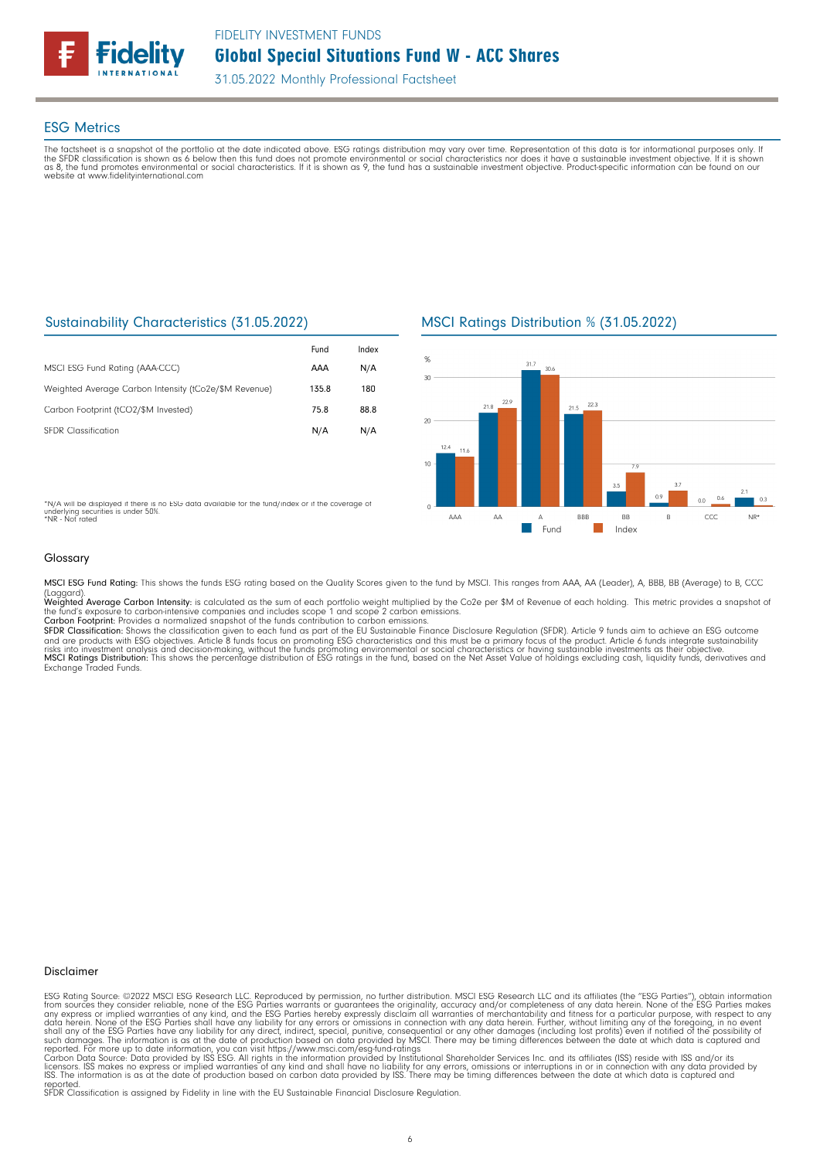

## ESG Metrics

The factsheet is a snapshot of the portfolio at the date indicated above. ESG ratings distribution may vary over time. Representation of this data is for informational purposes only. If<br>the SFDR classification is shown as website at www.fidelityinternational.com

# Sustainability Characteristics (31.05.2022)

|                                                       | Fund  | Index |
|-------------------------------------------------------|-------|-------|
| MSCI ESG Fund Rating (AAA-CCC)                        | AAA   | N/A   |
| Weighted Average Carbon Intensity (tCo2e/\$M Revenue) | 135.8 | 180   |
| Carbon Footprint (tCO2/\$M Invested)                  | 75.8  | 88.8  |
| <b>SEDR</b> Classification                            | N/A   | N/A   |

\*N/A will be displayed if there is no ESG data available for the fund/index or if the coverage of underlying securities is under 50%. \*NR - Not rated

# MSCI Ratings Distribution % (31.05.2022)



### Glossary

MSCI ESG Fund Rating: This shows the funds ESG rating based on the Quality Scores given to the fund by MSCI. This ranges from AAA, AA (Leader), A, BBB, BB (Average) to B, CCC

(Laggard).<br>**Weighted Average Carbon Intensity**: is calculated as the sum of each portfolio weight multiplied by the Co2e per \$M of Revenue of each holding. This metric provides a snapshot o

the fund's exposure to carbon-intensive companies and includes scope 1 and scope 2 carbon emissions.<br>**Carbon Footprint**: Provides a normalized snapshot of the funds contribution to carbon emissions.<br>**SFDR Classification:** and are products with ESG objectives. Article 8 funds focus on promoting ESG characteristics and this must be a primary focus of the product. Article 6 funds integrate sustainability<br>risks into investment analysis and deci

### Disclaimer

ESG Rating Source: ©2022 MSCI ESG Research LLC. Reproduced by permission, no further distribution. MSCI ESG Research LLC and its affiliates (the "ESG Parties"), obtain information<br>from sources they consider reliable, none

reported. SFDR Classification is assigned by Fidelity in line with the EU Sustainable Financial Disclosure Regulation.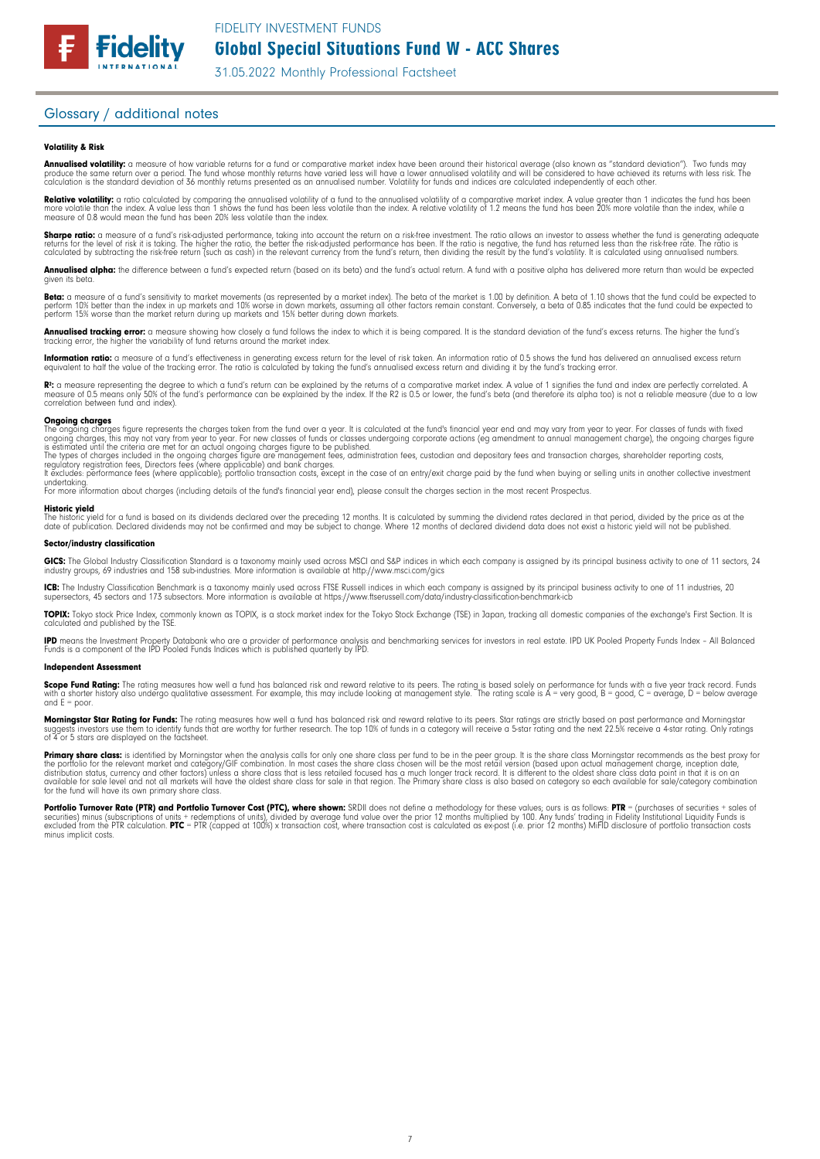# Glossary / additional notes

### Volatility & Risk

**Annualised volatility:** a measure of how variable returns for a fund or comparative market index have been around their historical average (also known as "standard deviation"). Two funds may<br>produce the same return over a

**Relative volatility:** a ratio calculated by comparing the annualised volatility of a fund to the annualised volatility of a comparative market index. A value greater than 1 indicates the fund has been<br>more volatile than t measure of 0.8 would mean the fund has been 20% less volatile than the index.

**Sharpe ratio:** a measure of a fund's risk-adjusted performance, taking into account the return on a risk-free investment. The ratio allows an investor to assess whether the fund is generating adequate<br>returns for the leve calculated by subtracting the risk-free return (such as cash) in the relevant currency from the fund's return, then dividing the result by the fund's volatility. It is calculated using annualised numbers.

Annualised alpha: the difference between a fund's expected return (based on its beta) and the fund's actual return. A fund with a positive alpha has delivered more return than would be expected given its beta.

**Beta:** a measure of a fund's sensitivity to market movements (as represented by a market index). The beta of the market is 1.00 by definition. A beta of 1.10 shows that the fund could be expected to<br>perform 10% better tha perform 15% worse than the market return during up markets and 15% better during down markets.

**Annualised tracking error:** a measure showing how closely a tund tollows the index to which it is being compared. It is the standard deviation of the fund's excess returns. The higher the fund's<br>tracking error, the higher

**Information ratio:** a measure ot a tund's eftectiveness in generating excess return for the level of risk taken. An information ratio of U.5 shows the fund has delivered an annualised excess return<br>equivalent to half the

**R:** a measure representing the degree to which a fund's return can be explained by the returns of a comparative market index. A value of 1 signifies the fund and index are perfectly correlated. A<br>measure of 0.5 means only

### Ongoing charges

The ongoing charges figure represents the charges taken from the fund over a year. It is calculated at the fund's financial year end and may vary from year to year. For classes of funds with fixed ongoing charges, this may not vary from year to year. For new classes of funds or classes undergoing corporate actions (eg amendment to annual management charge), the ongoing charges figure<br>is estimated until the criteria

It excludes: performance fees (where applicable); portfolio transaction costs, except in the case of an entry/exit charge paid by the fund when buying or selling units in another collective investment undertaking. For more information about charges (including details of the fund's financial year end), please consult the charges section in the most recent Prospectus.

**Historic yield**<br>The historic yield for a fund is based on its dividends declared over the preceding 12 months. It is calculated by summing the dividend rates declared in that period, divided by the price as at the<br>date of

### Sector/industry classification

GICS: The Global Industry Classification Standard is a taxonomy mainly used across MSCI and S&P indices in which each company is assigned by its principal business activity to one of 11 sectors, 24 industry groups, 69 industries and 158 sub-industries. More information is available at http://www.msci.com/gics

**ICB:** The Industry Classitication Benchmark is a taxonomy mainly used across FTSE Russell indices in which each company is assigned by its principal business activity to one of 11 industries, 20<br>supersectors, 45 sectors a

TOPIX: Tokyo stock Price Index, commonly known as TOPIX, is a stock market index for the Tokyo Stock Exchange (TSE) in Japan, tracking all domestic companies of the exchange's First Section. It is calculated and published by the TSE.

**IPD** means the Investment Property Databank who are a provider of performance analysis and benchmarking services for investors in real estate. IPD UK Pooled Property Funds Index - All Balanced<br>Funds is a component of the

### Independent Assessment

**Scope Fund Rating:** The rating measures how well a fund has balanced risk and reward relative to its peers. The rating is based solely on performance for funds with a five year track record. Funds<br>with a shorter history a and  $E = poor$ 

**Morningstar Star Rating for Funds:** The rating measures how well a tund has balanced risk and reward relative to its peers. Star ratings are strictly based on past performance and Morningstar<br>suggests investors use them t

**Primary share class:** is identified by Morningstar when the analysis calls for only one share class per fund to be in the peer group. It is the share class Morningstar recommends as the best proxy for the best proxy for c for the fund will have its own primary share class.

Portfolio Turnover Rate (PTR) and Portfolio Turnover Cost (PTC), where shown: SRDII does not define a methodology for these values; ours is as follows: PTR = (purchases of securities + sales of securities) minus (subscriptions ot units + redemptions ot units), divided by average tund value over the prior 12 months multiplied by 100. Any tunds' trading in Fidelity Institutional Liquidity Funds is<br>excluded from the minus implicit costs.